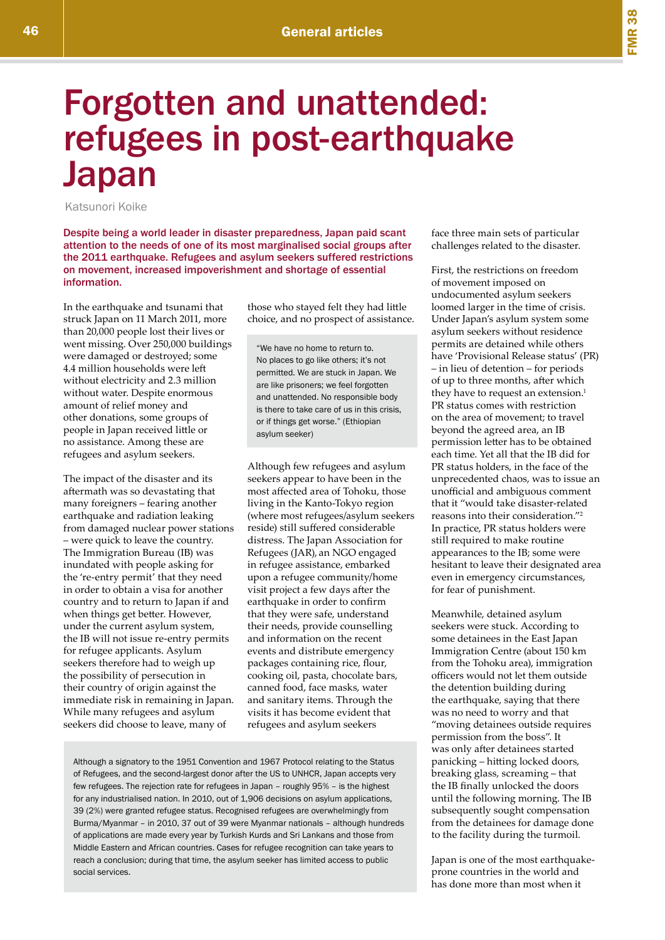## Forgotten and unattended: refugees in post-earthquake Japan

Katsunori Koike

Despite being a world leader in disaster preparedness, Japan paid scant attention to the needs of one of its most marginalised social groups after the 2011 earthquake. Refugees and asylum seekers suffered restrictions on movement, increased impoverishment and shortage of essential information.

In the earthquake and tsunami that struck Japan on 11 March 2011, more than 20,000 people lost their lives or went missing. Over 250,000 buildings were damaged or destroyed; some 4.4 million households were left without electricity and 2.3 million without water. Despite enormous amount of relief money and other donations, some groups of people in Japan received little or no assistance. Among these are refugees and asylum seekers.

The impact of the disaster and its aftermath was so devastating that many foreigners – fearing another earthquake and radiation leaking from damaged nuclear power stations – were quick to leave the country. The Immigration Bureau (IB) was inundated with people asking for the 're-entry permit' that they need in order to obtain a visa for another country and to return to Japan if and when things get better. However, under the current asylum system, the IB will not issue re-entry permits for refugee applicants. Asylum seekers therefore had to weigh up the possibility of persecution in their country of origin against the immediate risk in remaining in Japan. While many refugees and asylum seekers did choose to leave, many of

those who stayed felt they had little choice, and no prospect of assistance.

"We have no home to return to. No places to go like others; it's not permitted. We are stuck in Japan. We are like prisoners; we feel forgotten and unattended. No responsible body is there to take care of us in this crisis, or if things get worse." (Ethiopian asylum seeker)

Although few refugees and asylum seekers appear to have been in the most affected area of Tohoku, those living in the Kanto-Tokyo region (where most refugees/asylum seekers reside) still suffered considerable distress. The Japan Association for Refugees (JAR), an NGO engaged in refugee assistance, embarked upon a refugee community/home visit project a few days after the earthquake in order to confirm that they were safe, understand their needs, provide counselling and information on the recent events and distribute emergency packages containing rice, flour, cooking oil, pasta, chocolate bars, canned food, face masks, water and sanitary items. Through the visits it has become evident that refugees and asylum seekers

Although a signatory to the 1951 Convention and 1967 Protocol relating to the Status of Refugees, and the second-largest donor after the US to UNHCR, Japan accepts very few refugees. The rejection rate for refugees in Japan – roughly 95% – is the highest for any industrialised nation. In 2010, out of 1,906 decisions on asylum applications, 39 (2%) were granted refugee status. Recognised refugees are overwhelmingly from Burma/Myanmar – in 2010, 37 out of 39 were Myanmar nationals – although hundreds of applications are made every year by Turkish Kurds and Sri Lankans and those from Middle Eastern and African countries. Cases for refugee recognition can take years to reach a conclusion; during that time, the asylum seeker has limited access to public social services.

face three main sets of particular challenges related to the disaster.

First, the restrictions on freedom of movement imposed on undocumented asylum seekers loomed larger in the time of crisis. Under Japan's asylum system some asylum seekers without residence permits are detained while others have 'Provisional Release status' (PR) – in lieu of detention – for periods of up to three months, after which they have to request an extension.<sup>1</sup> PR status comes with restriction on the area of movement; to travel beyond the agreed area, an IB permission letter has to be obtained each time. Yet all that the IB did for PR status holders, in the face of the unprecedented chaos, was to issue an unofficial and ambiguous comment that it "would take disaster-related reasons into their consideration."2 In practice, PR status holders were still required to make routine appearances to the IB; some were hesitant to leave their designated area even in emergency circumstances, for fear of punishment.

Meanwhile, detained asylum seekers were stuck. According to some detainees in the East Japan Immigration Centre (about 150 km from the Tohoku area), immigration officers would not let them outside the detention building during the earthquake, saying that there was no need to worry and that "moving detainees outside requires permission from the boss". It was only after detainees started panicking – hitting locked doors, breaking glass, screaming – that the IB finally unlocked the doors until the following morning. The IB subsequently sought compensation from the detainees for damage done to the facility during the turmoil.

Japan is one of the most earthquakeprone countries in the world and has done more than most when it